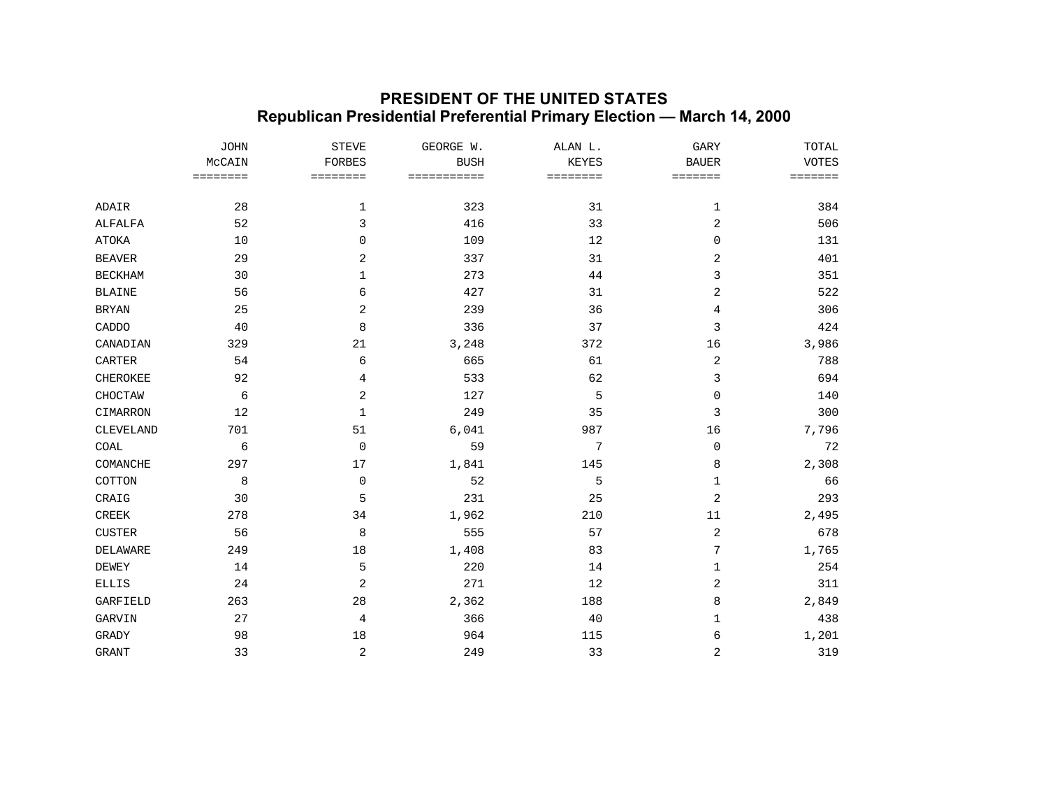## **PRESIDENT OF THE UNITED STATES Republican Presidential Preferential Primary Election — March 14, 2000**

|                 | <b>JOHN</b><br>MCCAIN<br>$\qquad \qquad \equiv \equiv \equiv \equiv \equiv \equiv \equiv \equiv$ | <b>STEVE</b><br><b>FORBES</b><br>======== | GEORGE W.<br><b>BUSH</b><br>=========== | ALAN L.<br>KEYES<br>======== | <b>GARY</b><br><b>BAUER</b><br>$=$ = = = = = = | TOTAL<br><b>VOTES</b><br>$=$ = = = = = = |
|-----------------|--------------------------------------------------------------------------------------------------|-------------------------------------------|-----------------------------------------|------------------------------|------------------------------------------------|------------------------------------------|
|                 |                                                                                                  |                                           |                                         |                              |                                                |                                          |
|                 |                                                                                                  |                                           |                                         |                              |                                                |                                          |
| ADAIR           | 28                                                                                               | 1                                         | 323                                     | 31                           | 1                                              | 384                                      |
| ALFALFA         | 52                                                                                               | 3                                         | 416                                     | 33                           | 2                                              | 506                                      |
| <b>ATOKA</b>    | 10                                                                                               | $\mathbf 0$                               | 109                                     | 12                           | 0                                              | 131                                      |
| <b>BEAVER</b>   | 29                                                                                               | 2                                         | 337                                     | 31                           | 2                                              | 401                                      |
| <b>BECKHAM</b>  | 30                                                                                               | 1                                         | 273                                     | 44                           | 3                                              | 351                                      |
| <b>BLAINE</b>   | 56                                                                                               | 6                                         | 427                                     | 31                           | 2                                              | 522                                      |
| <b>BRYAN</b>    | 25                                                                                               | 2                                         | 239                                     | 36                           | 4                                              | 306                                      |
| CADDO           | 40                                                                                               | 8                                         | 336                                     | 37                           | 3                                              | 424                                      |
| CANADIAN        | 329                                                                                              | 21                                        | 3,248                                   | 372                          | 16                                             | 3,986                                    |
| CARTER          | 54                                                                                               | 6                                         | 665                                     | 61                           | 2                                              | 788                                      |
| <b>CHEROKEE</b> | 92                                                                                               | 4                                         | 533                                     | 62                           | 3                                              | 694                                      |
| CHOCTAW         | 6                                                                                                | 2                                         | 127                                     | 5                            | 0                                              | 140                                      |
| CIMARRON        | 12                                                                                               | 1                                         | 249                                     | 35                           | 3                                              | 300                                      |
| CLEVELAND       | 701                                                                                              | 51                                        | 6,041                                   | 987                          | 16                                             | 7,796                                    |
| COAL            | 6                                                                                                | $\mathbf 0$                               | 59                                      | 7                            | 0                                              | 72                                       |
| COMANCHE        | 297                                                                                              | 17                                        | 1,841                                   | 145                          | 8                                              | 2,308                                    |
| COTTON          | 8                                                                                                | 0                                         | 52                                      | 5                            | 1                                              | 66                                       |
| CRAIG           | 30                                                                                               | 5                                         | 231                                     | 25                           | 2                                              | 293                                      |
| <b>CREEK</b>    | 278                                                                                              | 34                                        | 1,962                                   | 210                          | 11                                             | 2,495                                    |
| <b>CUSTER</b>   | 56                                                                                               | 8                                         | 555                                     | 57                           | 2                                              | 678                                      |
| DELAWARE        | 249                                                                                              | 18                                        | 1,408                                   | 83                           | 7                                              | 1,765                                    |
| <b>DEWEY</b>    | 14                                                                                               | 5                                         | 220                                     | 14                           | 1                                              | 254                                      |
| <b>ELLIS</b>    | 24                                                                                               | 2                                         | 271                                     | 12                           | 2                                              | 311                                      |
| GARFIELD        | 263                                                                                              | 28                                        | 2,362                                   | 188                          | 8                                              | 2,849                                    |
| GARVIN          | 27                                                                                               | 4                                         | 366                                     | 40                           | 1                                              | 438                                      |
| GRADY           | 98                                                                                               | 18                                        | 964                                     | 115                          | 6                                              | 1,201                                    |
| <b>GRANT</b>    | 33                                                                                               | $\sqrt{2}$                                | 249                                     | 33                           | 2                                              | 319                                      |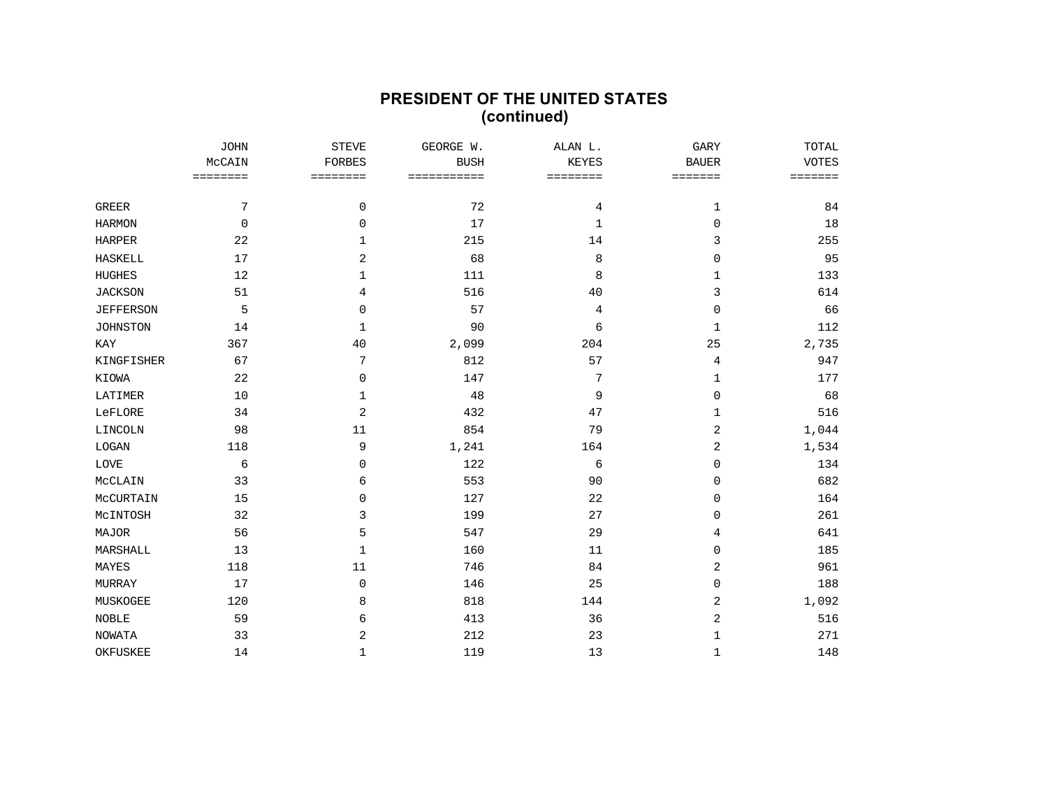## **PRESIDENT OF THE UNITED STATES (continued)**

|                  | <b>JOHN</b><br>MCCAIN<br>$=$ = = = = = = = | <b>STEVE</b><br><b>FORBES</b><br>$= 222222222$ | GEORGE W.<br><b>BUSH</b><br>=========== | ALAN L.<br><b>KEYES</b><br>======== | GARY<br><b>BAUER</b><br>======= | TOTAL<br><b>VOTES</b><br>======= |
|------------------|--------------------------------------------|------------------------------------------------|-----------------------------------------|-------------------------------------|---------------------------------|----------------------------------|
|                  |                                            |                                                |                                         |                                     |                                 |                                  |
|                  |                                            |                                                |                                         |                                     |                                 |                                  |
| <b>GREER</b>     | 7                                          | 0                                              | 72                                      | 4                                   | 1                               | 84                               |
| <b>HARMON</b>    | $\mathbf 0$                                | $\mathbf{0}$                                   | 17                                      | 1                                   | $\mathbf 0$                     | 18                               |
| <b>HARPER</b>    | 22                                         | 1                                              | 215                                     | 14                                  | 3                               | 255                              |
| <b>HASKELL</b>   | 17                                         | 2                                              | 68                                      | 8                                   | 0                               | 95                               |
| <b>HUGHES</b>    | 12                                         | 1                                              | 111                                     | 8                                   | 1                               | 133                              |
| <b>JACKSON</b>   | 51                                         | 4                                              | 516                                     | 40                                  | 3                               | 614                              |
| <b>JEFFERSON</b> | 5                                          | $\mathbf 0$                                    | 57                                      | 4                                   | $\mathbf 0$                     | 66                               |
| <b>JOHNSTON</b>  | 14                                         | 1                                              | 90                                      | 6                                   | $\mathbf 1$                     | 112                              |
| KAY              | 367                                        | 40                                             | 2,099                                   | 204                                 | 25                              | 2,735                            |
| KINGFISHER       | 67                                         | 7                                              | 812                                     | 57                                  | 4                               | 947                              |
| KIOWA            | 22                                         | $\mathbf 0$                                    | 147                                     | 7                                   | 1                               | 177                              |
| LATIMER          | 10                                         | 1                                              | 48                                      | 9                                   | $\mathbf 0$                     | 68                               |
| LeFLORE          | 34                                         | 2                                              | 432                                     | 47                                  | 1                               | 516                              |
| LINCOLN          | 98                                         | 11                                             | 854                                     | 79                                  | 2                               | 1,044                            |
| LOGAN            | 118                                        | 9                                              | 1,241                                   | 164                                 | 2                               | 1,534                            |
| LOVE             | б                                          | $\Omega$                                       | 122                                     | 6                                   | $\Omega$                        | 134                              |
| MCCLAIN          | 33                                         | 6                                              | 553                                     | 90                                  | 0                               | 682                              |
| MCCURTAIN        | 15                                         | $\Omega$                                       | 127                                     | 22                                  | 0                               | 164                              |
| MCINTOSH         | 32                                         | 3                                              | 199                                     | 27                                  | $\mathbf 0$                     | 261                              |
| MAJOR            | 56                                         | 5                                              | 547                                     | 29                                  | 4                               | 641                              |
| MARSHALL         | 13                                         | 1                                              | 160                                     | 11                                  | 0                               | 185                              |
| MAYES            | 118                                        | 11                                             | 746                                     | 84                                  | 2                               | 961                              |
| MURRAY           | 17                                         | 0                                              | 146                                     | 25                                  | 0                               | 188                              |
| MUSKOGEE         | 120                                        | 8                                              | 818                                     | 144                                 | 2                               | 1,092                            |
| <b>NOBLE</b>     | 59                                         | 6                                              | 413                                     | 36                                  | 2                               | 516                              |
| <b>NOWATA</b>    | 33                                         | $\overline{2}$                                 | 212                                     | 23                                  | $\mathbf 1$                     | 271                              |
| <b>OKFUSKEE</b>  | 14                                         | 1                                              | 119                                     | 13                                  | $\mathbf{1}$                    | 148                              |